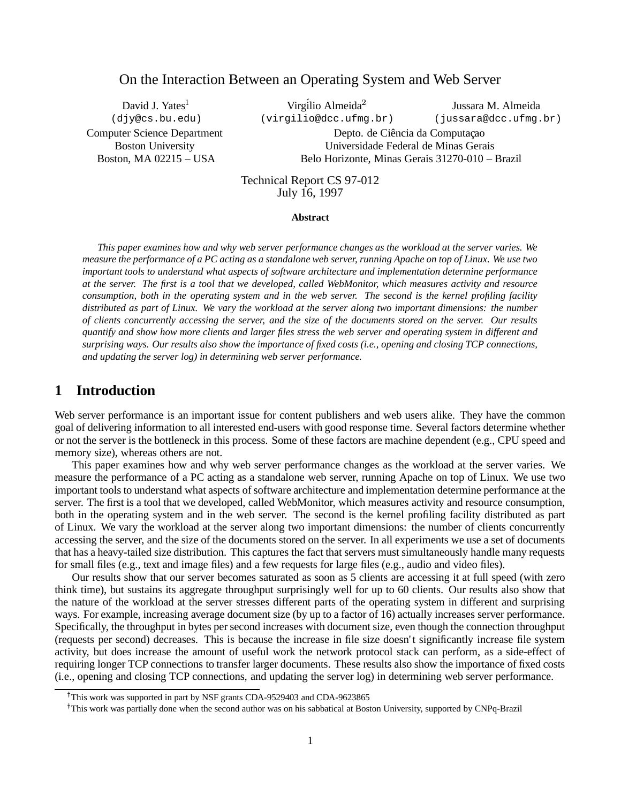# On the Interaction Between an Operating System and Web Server

David J. Yates<sup>1</sup> (djy@cs.bu.edu) Computer Science Department Boston University Boston, MA 02215 – USA

Virgílio Almeida<sup>2</sup> (virgilio@dcc.ufmg.br)

Jussara M. Almeida (jussara@dcc.ufmg.br)

Depto. de Ciência da Computação Universidade Federal de Minas Gerais Belo Horizonte, Minas Gerais 31270-010 – Brazil

Technical Report CS 97-012 July 16, 1997

#### **Abstract**

This paper examines how and why web server performance changes as the workload at the server varies. We measure the performance of a PC acting as a standalone web server, running Apache on top of Linux. We use two *important tools to understand what aspects of software architecture and implementation determine performance* at the server. The first is a tool that we developed, called WebMonitor, which measures activity and resource consumption, both in the operating system and in the web server. The second is the kernel profiling facility distributed as part of Linux. We vary the workload at the server along two important dimensions: the number of clients concurrently accessing the server, and the size of the documents stored on the server. Our results quantify and show how more clients and larger files stress the web server and operating system in different and surprising ways. Our results also show the importance of fixed costs (i.e., opening and closing TCP connections, *and updating the server log) in determining web server performance.*

# **1 Introduction**

Web server performance is an important issue for content publishers and web users alike. They have the common goal of delivering information to all interested end-users with good response time. Several factors determine whether or not the server is the bottleneck in this process. Some of these factors are machine dependent (e.g., CPU speed and memory size), whereas others are not.

This paper examines how and why web server performance changes as the workload at the server varies. We measure the performance of a PC acting as a standalone web server, running Apache on top of Linux. We use two important tools to understand what aspects of software architecture and implementation determine performance at the server. The first is a tool that we developed, called WebMonitor, which measures activity and resource consumption, both in the operating system and in the web server. The second is the kernel profiling facility distributed as part of Linux. We vary the workload at the server along two important dimensions: the number of clients concurrently accessing the server, and the size of the documents stored on the server. In all experiments we use a set of documents that has a heavy-tailed size distribution. This captures the fact that servers must simultaneously handle many requests for small files (e.g., text and image files) and a few requests for large files (e.g., audio and video files).

Our results show that our server becomes saturated as soon as 5 clients are accessing it at full speed (with zero think time), but sustains its aggregate throughput surprisingly well for up to 60 clients. Our results also show that the nature of the workload at the server stresses different parts of the operating system in different and surprising ways. For example, increasing average document size (by up to a factor of 16) actually increases server performance. Specifically, the throughput in bytes per second increases with document size, even though the connection throughput (requests per second) decreases. This is because the increase in file size doesn't significantly increase file system activity, but does increase the amount of useful work the network protocol stack can perform, as a side-effect of requiring longer TCP connections to transfer larger documents. These results also show the importance of fixed costs (i.e., opening and closing TCP connections, and updating the server log) in determining web server performance.

<sup>&</sup>lt;sup>†</sup>This work was supported in part by NSF grants CDA-9529403 and CDA-9623865

<sup>&</sup>lt;sup>†</sup>This work was partially done when the second author was on his sabbatical at Boston University, supported by CNPq-Brazil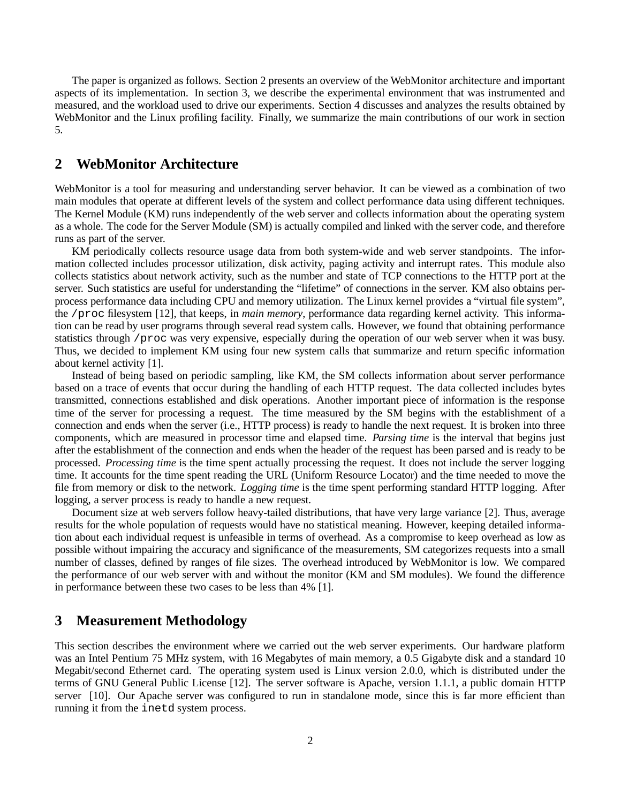The paper is organized as follows. Section 2 presents an overview of the WebMonitor architecture and important aspects of its implementation. In section 3, we describe the experimental environment that was instrumented and measured, and the workload used to drive our experiments. Section 4 discusses and analyzes the results obtained by WebMonitor and the Linux profiling facility. Finally, we summarize the main contributions of our work in section 5.

## **2 WebMonitor Architecture**

WebMonitor is a tool for measuring and understanding server behavior. It can be viewed as a combination of two main modules that operate at different levels of the system and collect performance data using different techniques. The Kernel Module (KM) runs independently of the web server and collects information about the operating system as a whole. The code for the Server Module (SM) is actually compiled and linked with the server code, and therefore runs as part of the server.

KM periodically collects resource usage data from both system-wide and web server standpoints. The information collected includes processor utilization, disk activity, paging activity and interrupt rates. This module also collects statistics about network activity, such as the number and state of TCP connections to the HTTP port at the server. Such statistics are useful for understanding the "lifetime" of connections in the server. KM also obtains perprocess performance data including CPU and memory utilization. The Linux kernel provides a "virtual file system", the /proc filesystem [12], that keeps, in *main memory*, performance data regarding kernel activity. This information can be read by user programs through several read system calls. However, we found that obtaining performance statistics through /proc was very expensive, especially during the operation of our web server when it was busy. Thus, we decided to implement KM using four new system calls that summarize and return specific information about kernel activity [1].

Instead of being based on periodic sampling, like KM, the SM collects information about server performance based on a trace of events that occur during the handling of each HTTP request. The data collected includes bytes transmitted, connections established and disk operations. Another important piece of information is the response time of the server for processing a request. The time measured by the SM begins with the establishment of a connection and ends when the server (i.e., HTTP process) is ready to handle the next request. It is broken into three components, which are measured in processor time and elapsed time. *Parsing time* is the interval that begins just after the establishment of the connection and ends when the header of the request has been parsed and is ready to be processed. *Processing time* is the time spent actually processing the request. It does not include the server logging time. It accounts for the time spent reading the URL (Uniform Resource Locator) and the time needed to move the file from memory or disk to the network. *Logging time* is the time spent performing standard HTTP logging. After logging, a server process is ready to handle a new request.

Document size at web servers follow heavy-tailed distributions, that have very large variance [2]. Thus, average results for the whole population of requests would have no statistical meaning. However, keeping detailed information about each individual request is unfeasible in terms of overhead. As a compromise to keep overhead as low as possible without impairing the accuracy and significance of the measurements, SM categorizes requests into a small number of classes, defined by ranges of file sizes. The overhead introduced by WebMonitor is low. We compared the performance of our web server with and without the monitor (KM and SM modules). We found the difference in performance between these two cases to be less than 4% [1].

## **3 Measurement Methodology**

This section describes the environment where we carried out the web server experiments. Our hardware platform was an Intel Pentium 75 MHz system, with 16 Megabytes of main memory, a 0.5 Gigabyte disk and a standard 10 Megabit/second Ethernet card. The operating system used is Linux version 2.0.0, which is distributed under the terms of GNU General Public License [12]. The server software is Apache, version 1.1.1, a public domain HTTP server [10]. Our Apache server was configured to run in standalone mode, since this is far more efficient than running it from the inetd system process.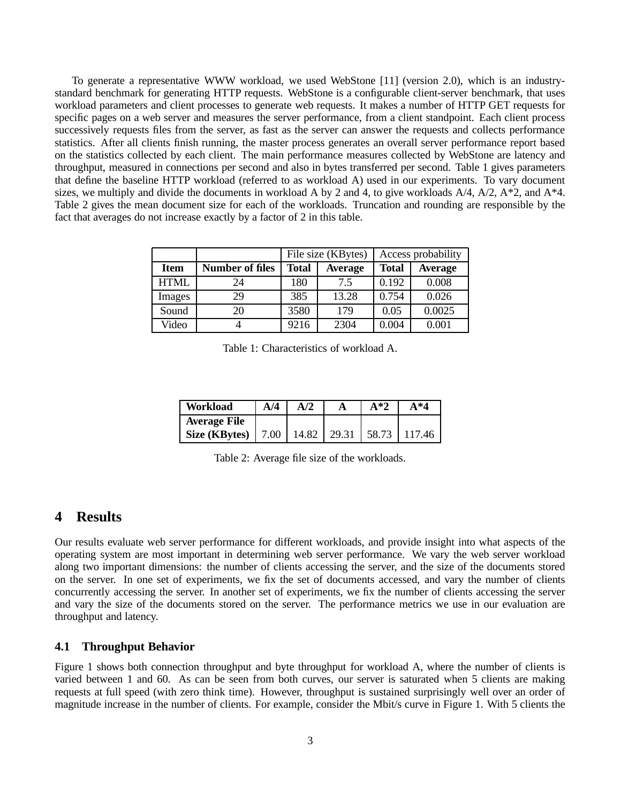To generate a representative WWW workload, we used WebStone [11] (version 2.0), which is an industrystandard benchmark for generating HTTP requests. WebStone is a configurable client-server benchmark, that uses workload parameters and client processes to generate web requests. It makes a number of HTTP GET requests for specific pages on a web server and measures the server performance, from a client standpoint. Each client process successively requests files from the server, as fast as the server can answer the requests and collects performance statistics. After all clients finish running, the master process generates an overall server performance report based on the statistics collected by each client. The main performance measures collected by WebStone are latency and throughput, measured in connections per second and also in bytes transferred per second. Table 1 gives parameters that define the baseline HTTP workload (referred to as workload A) used in our experiments. To vary document sizes, we multiply and divide the documents in workload A by 2 and 4, to give workloads  $A/4$ ,  $A/2$ ,  $A*2$ , and  $A*4$ . Table 2 gives the mean document size for each of the workloads. Truncation and rounding are responsible by the fact that averages do not increase exactly by a factor of 2 in this table.

|             |                        |              | File size (KBytes) | Access probability |                |
|-------------|------------------------|--------------|--------------------|--------------------|----------------|
| <b>Item</b> | <b>Number of files</b> | <b>Total</b> | <b>Average</b>     | <b>Total</b>       | <b>Average</b> |
| <b>HTML</b> | 24                     | 180          | 7.5                | 0.192              | 0.008          |
| Images      | 29                     | 385          | 13.28              | 0.754              | 0.026          |
| Sound       | 20                     | 3580         | 179                | 0.05               | 0.0025         |
| Video       |                        | 9216         | 2304               | 0.004              | 0.001          |

Table 1: Characteristics of workload A.

| Workload                                              | A/4 | A/2 | $A*2$ | $A*4$ |
|-------------------------------------------------------|-----|-----|-------|-------|
| <b>Average File</b>                                   |     |     |       |       |
| Size (KBytes)   7.00   14.82   29.31   58.73   117.46 |     |     |       |       |

Table 2: Average file size of the workloads.

### **4 Results**

Our results evaluate web server performance for different workloads, and provide insight into what aspects of the operating system are most important in determining web server performance. We vary the web server workload along two important dimensions: the number of clients accessing the server, and the size of the documents stored on the server. In one set of experiments, we fix the set of documents accessed, and vary the number of clients concurrently accessing the server. In another set of experiments, we fix the number of clients accessing the server and vary the size of the documents stored on the server. The performance metrics we use in our evaluation are throughput and latency.

#### **4.1 Throughput Behavior**

Figure 1 shows both connection throughput and byte throughput for workload A, where the number of clients is varied between 1 and 60. As can be seen from both curves, our server is saturated when 5 clients are making requests at full speed (with zero think time). However, throughput is sustained surprisingly well over an order of magnitude increase in the number of clients. For example, consider the Mbit/s curve in Figure 1. With 5 clients the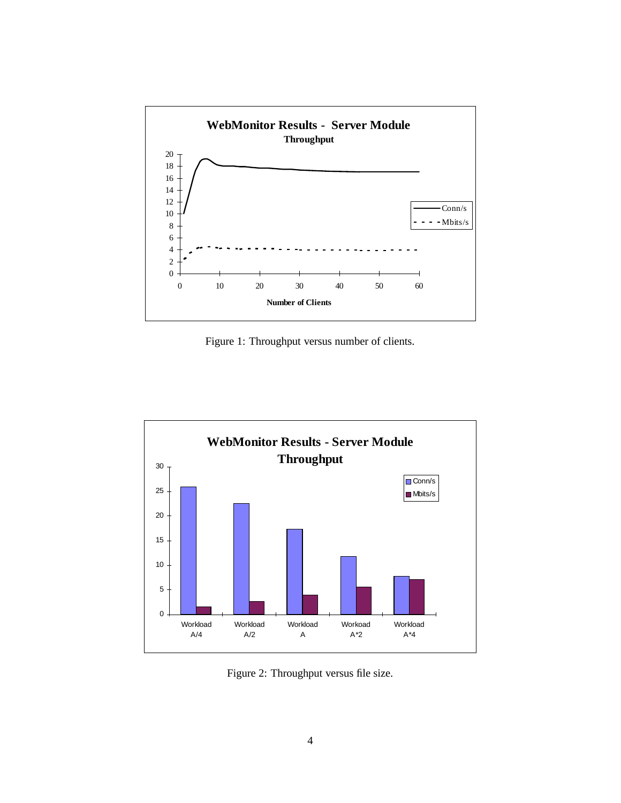

Figure 1: Throughput versus number of clients.



Figure 2: Throughput versus file size.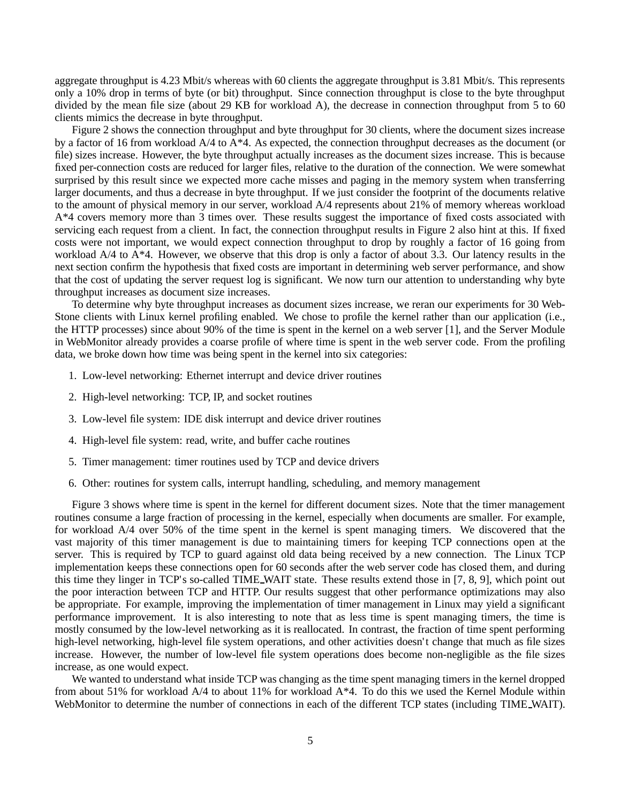aggregate throughput is 4.23 Mbit/s whereas with 60 clients the aggregate throughput is 3.81 Mbit/s. This represents only a 10% drop in terms of byte (or bit) throughput. Since connection throughput is close to the byte throughput divided by the mean file size (about 29 KB for workload A), the decrease in connection throughput from 5 to 60 clients mimics the decrease in byte throughput.

Figure 2 shows the connection throughput and byte throughput for 30 clients, where the document sizes increase by a factor of 16 from workload A/4 to A\*4. As expected, the connection throughput decreases as the document (or file) sizes increase. However, the byte throughput actually increases as the document sizes increase. This is because fixed per-connection costs are reduced for larger files, relative to the duration of the connection. We were somewhat surprised by this result since we expected more cache misses and paging in the memory system when transferring larger documents, and thus a decrease in byte throughput. If we just consider the footprint of the documents relative to the amount of physical memory in our server, workload A/4 represents about 21% of memory whereas workload A\*4 covers memory more than 3 times over. These results suggest the importance of fixed costs associated with servicing each request from a client. In fact, the connection throughput results in Figure 2 also hint at this. If fixed costs were not important, we would expect connection throughput to drop by roughly a factor of 16 going from workload A/4 to A\*4. However, we observe that this drop is only a factor of about 3.3. Our latency results in the next section confirm the hypothesis that fixed costs are important in determining web server performance, and show that the cost of updating the server request log is significant. We now turn our attention to understanding why byte throughput increases as document size increases.

To determine why byte throughput increases as document sizes increase, we reran our experiments for 30 Web-Stone clients with Linux kernel profiling enabled. We chose to profile the kernel rather than our application (i.e., the HTTP processes) since about 90% of the time is spent in the kernel on a web server [1], and the Server Module in WebMonitor already provides a coarse profile of where time is spent in the web server code. From the profiling data, we broke down how time was being spent in the kernel into six categories:

- 1. Low-level networking: Ethernet interrupt and device driver routines
- 2. High-level networking: TCP, IP, and socket routines
- 3. Low-level file system: IDE disk interrupt and device driver routines
- 4. High-level file system: read, write, and buffer cache routines
- 5. Timer management: timer routines used by TCP and device drivers
- 6. Other: routines for system calls, interrupt handling, scheduling, and memory management

Figure 3 shows where time is spent in the kernel for different document sizes. Note that the timer management routines consume a large fraction of processing in the kernel, especially when documents are smaller. For example, for workload A/4 over 50% of the time spent in the kernel is spent managing timers. We discovered that the vast majority of this timer management is due to maintaining timers for keeping TCP connections open at the server. This is required by TCP to guard against old data being received by a new connection. The Linux TCP implementation keeps these connections open for 60 seconds after the web server code has closed them, and during this time they linger in TCP's so-called TIME WAIT state. These results extend those in [7, 8, 9], which point out the poor interaction between TCP and HTTP. Our results suggest that other performance optimizations may also be appropriate. For example, improving the implementation of timer management in Linux may yield a significant performance improvement. It is also interesting to note that as less time is spent managing timers, the time is mostly consumed by the low-level networking as it is reallocated. In contrast, the fraction of time spent performing high-level networking, high-level file system operations, and other activities doesn't change that much as file sizes increase. However, the number of low-level file system operations does become non-negligible as the file sizes increase, as one would expect.

We wanted to understand what inside TCP was changing as the time spent managing timers in the kernel dropped from about 51% for workload A/4 to about 11% for workload A\*4. To do this we used the Kernel Module within WebMonitor to determine the number of connections in each of the different TCP states (including TIME\_WAIT).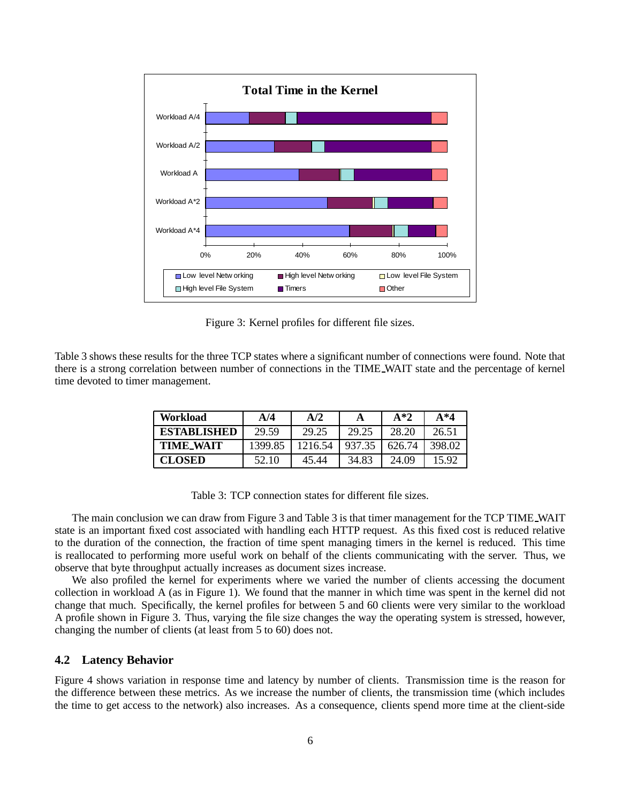

Figure 3: Kernel profiles for different file sizes.

Table 3 shows these results for the three TCP states where a significant number of connections were found. Note that there is a strong correlation between number of connections in the TIME WAIT state and the percentage of kernel time devoted to timer management.

| Workload           | A/4     | A/2     |        | $A*2$  | $A^*4$ |
|--------------------|---------|---------|--------|--------|--------|
| <b>ESTABLISHED</b> | 29.59   | 29.25   | 29.25  | 28.20  | 26.51  |
| <b>TIME WAIT</b>   | 1399.85 | 1216.54 | 937.35 | 626.74 | 398.02 |
| <b>CLOSED</b>      | 52.10   | 45.44   | 34.83  | 24.09  | 15.92  |

Table 3: TCP connection states for different file sizes.

The main conclusion we can draw from Figure 3 and Table 3 is that timer management for the TCP TIME WAIT state is an important fixed cost associated with handling each HTTP request. As this fixed cost is reduced relative to the duration of the connection, the fraction of time spent managing timers in the kernel is reduced. This time is reallocated to performing more useful work on behalf of the clients communicating with the server. Thus, we observe that byte throughput actually increases as document sizes increase.

We also profiled the kernel for experiments where we varied the number of clients accessing the document collection in workload A (as in Figure 1). We found that the manner in which time was spent in the kernel did not change that much. Specifically, the kernel profiles for between 5 and 60 clients were very similar to the workload A profile shown in Figure 3. Thus, varying the file size changes the way the operating system is stressed, however, changing the number of clients (at least from 5 to 60) does not.

### **4.2 Latency Behavior**

Figure 4 shows variation in response time and latency by number of clients. Transmission time is the reason for the difference between these metrics. As we increase the number of clients, the transmission time (which includes the time to get access to the network) also increases. As a consequence, clients spend more time at the client-side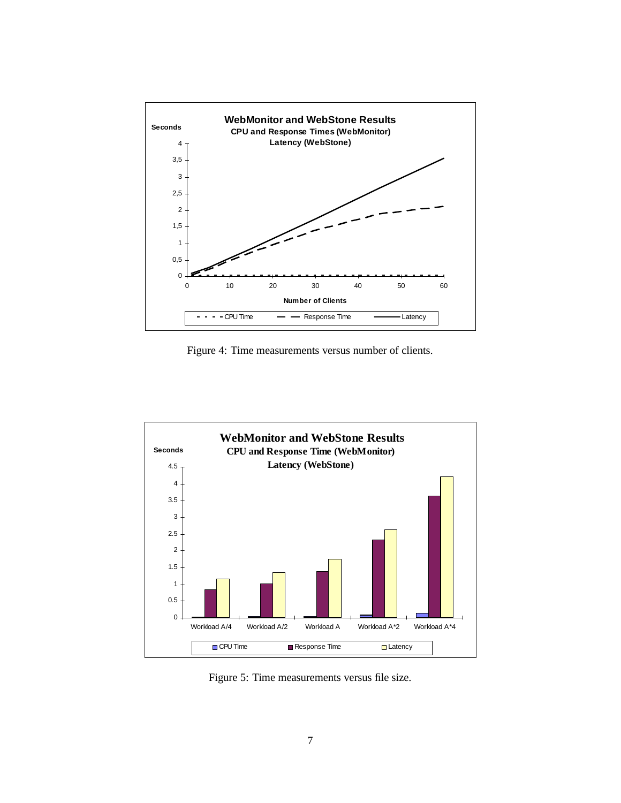

Figure 4: Time measurements versus number of clients.



Figure 5: Time measurements versus file size.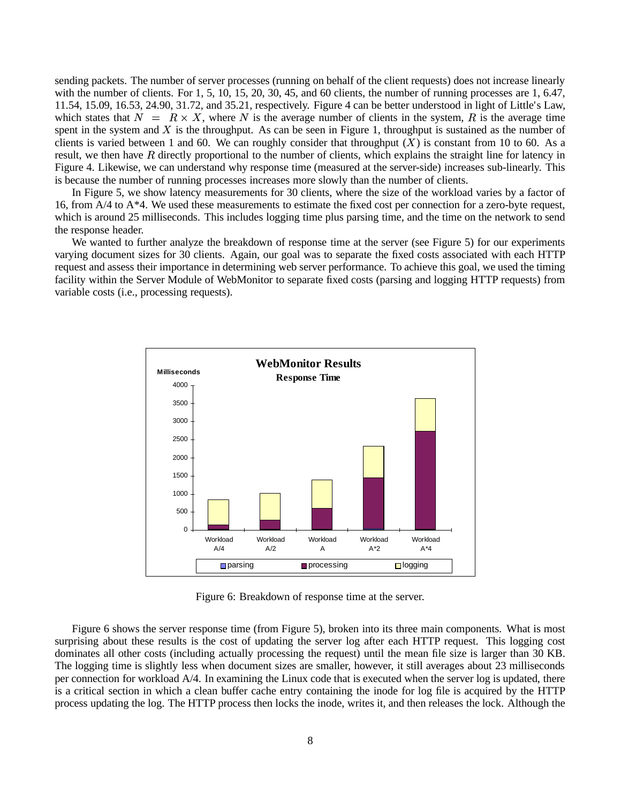sending packets. The number of server processes (running on behalf of the client requests) does not increase linearly with the number of clients. For  $1, 5, 10, 15, 20, 30, 45,$  and 60 clients, the number of running processes are  $1, 6.47$ , 11.54, 15.09, 16.53, 24.90, 31.72, and 35.21, respectively. Figure 4 can be better understood in light of Little's Law, which states that  $N = R \times X$ , where N is the average number of clients in the system, R is the average time spent in the system and  $X$  is the throughput. As can be seen in Figure 1, throughput is sustained as the number of clients is varied between 1 and 60. We can roughly consider that throughput  $(X)$  is constant from 10 to 60. As a result, we then have  $R$  directly proportional to the number of clients, which explains the straight line for latency in Figure 4. Likewise, we can understand why response time (measured at the server-side) increases sub-linearly. This is because the number of running processes increases more slowly than the number of clients.

In Figure 5, we show latency measurements for 30 clients, where the size of the workload varies by a factor of 16, from  $A/4$  to  $A^*4$ . We used these measurements to estimate the fixed cost per connection for a zero-byte request, which is around 25 milliseconds. This includes logging time plus parsing time, and the time on the network to send the response header.

We wanted to further analyze the breakdown of response time at the server (see Figure 5) for our experiments varying document sizes for 30 clients. Again, our goal was to separate the fixed costs associated with each HTTP request and assess their importance in determining web server performance. To achieve this goal, we used the timing facility within the Server Module of WebMonitor to separate fixed costs (parsing and logging HTTP requests) from variable costs (i.e., processing requests).



Figure 6: Breakdown of response time at the server.

Figure 6 shows the server response time (from Figure 5), broken into its three main components. What is most surprising about these results is the cost of updating the server log after each HTTP request. This logging cost dominates all other costs (including actually processing the request) until the mean file size is larger than 30 KB. The logging time is slightly less when document sizes are smaller, however, it still averages about 23 milliseconds per connection for workload A/4. In examining the Linux code that is executed when the server log is updated, there is a critical section in which a clean buffer cache entry containing the inode for log file is acquired by the HTTP process updating the log. The HTTP process then locks the inode, writes it, and then releases the lock. Although the